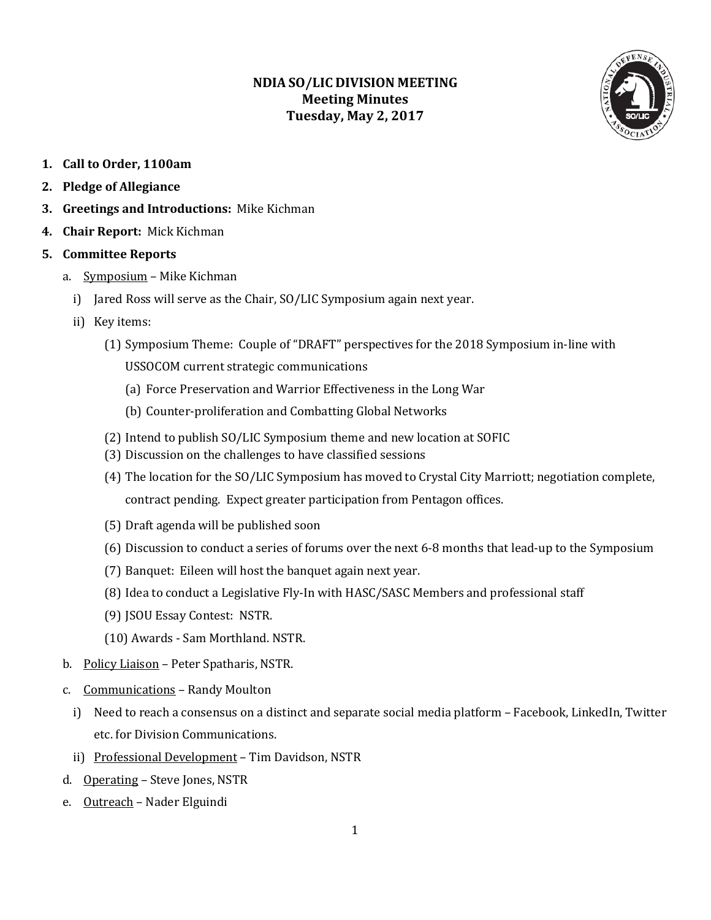## **NDIA SO/LIC DIVISION MEETING Meeting Minutes Tuesday, May 2, 2017**



- **1. Call to Order, 1100am**
- **2. Pledge of Allegiance**
- **3. Greetings and Introductions:** Mike Kichman
- **4. Chair Report:** Mick Kichman

#### **5. Committee Reports**

- a. Symposium Mike Kichman
	- i) Jared Ross will serve as the Chair, SO/LIC Symposium again next year.
	- ii) Key items:
		- (1) Symposium Theme: Couple of "DRAFT" perspectives for the 2018 Symposium in-line with USSOCOM current strategic communications
			- (a) Force Preservation and Warrior Effectiveness in the Long War
			- (b) Counter-proliferation and Combatting Global Networks
		- (2) Intend to publish SO/LIC Symposium theme and new location at SOFIC
		- (3) Discussion on the challenges to have classified sessions
		- (4) The location for the SO/LIC Symposium has moved to Crystal City Marriott; negotiation complete, contract pending. Expect greater participation from Pentagon offices.
		- (5) Draft agenda will be published soon
		- (6) Discussion to conduct a series of forums over the next 6-8 months that lead-up to the Symposium
		- (7) Banquet: Eileen will host the banquet again next year.
		- (8) Idea to conduct a Legislative Fly-In with HASC/SASC Members and professional staff
		- (9) JSOU Essay Contest: NSTR.
		- (10) Awards Sam Morthland. NSTR.
- b. Policy Liaison Peter Spatharis, NSTR.
- c. Communications Randy Moulton
	- i) Need to reach a consensus on a distinct and separate social media platform Facebook, LinkedIn, Twitter etc. for Division Communications.
	- ii) Professional Development Tim Davidson, NSTR
- d. Operating Steve Jones, NSTR
- e. Outreach Nader Elguindi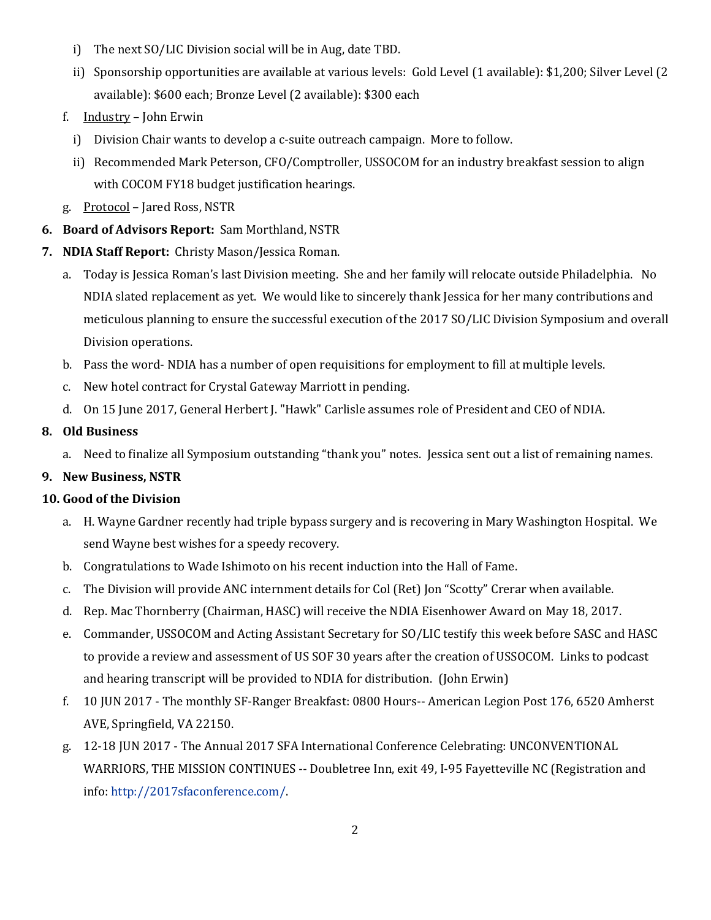- i) The next SO/LIC Division social will be in Aug, date TBD.
- ii) Sponsorship opportunities are available at various levels: Gold Level (1 available): \$1,200; Silver Level (2 available): \$600 each; Bronze Level (2 available): \$300 each
- f. Industry John Erwin
	- i) Division Chair wants to develop a c-suite outreach campaign. More to follow.
	- ii) Recommended Mark Peterson, CFO/Comptroller, USSOCOM for an industry breakfast session to align with COCOM FY18 budget justification hearings.
- g. Protocol Jared Ross, NSTR
- **6. Board of Advisors Report:** Sam Morthland, NSTR
- **7. NDIA Staff Report:** Christy Mason/Jessica Roman.
	- a. Today is Jessica Roman's last Division meeting. She and her family will relocate outside Philadelphia. No NDIA slated replacement as yet. We would like to sincerely thank Jessica for her many contributions and meticulous planning to ensure the successful execution of the 2017 SO/LIC Division Symposium and overall Division operations.
	- b. Pass the word- NDIA has a number of open requisitions for employment to fill at multiple levels.
	- c. New hotel contract for Crystal Gateway Marriott in pending.
	- d. On 15 June 2017, General Herbert J. "Hawk" Carlisle assumes role of President and CEO of NDIA.

### **8. Old Business**

a. Need to finalize all Symposium outstanding "thank you" notes. Jessica sent out a list of remaining names.

# **9. New Business, NSTR**

#### **10. Good of the Division**

- a. H. Wayne Gardner recently had triple bypass surgery and is recovering in Mary Washington Hospital. We send Wayne best wishes for a speedy recovery.
- b. Congratulations to Wade Ishimoto on his recent induction into the Hall of Fame.
- c. The Division will provide ANC internment details for Col (Ret) Jon "Scotty" Crerar when available.
- d. Rep. Mac Thornberry (Chairman, HASC) will receive the NDIA Eisenhower Award on May 18, 2017.
- e. Commander, USSOCOM and Acting Assistant Secretary for SO/LIC testify this week before SASC and HASC to provide a review and assessment of US SOF 30 years after the creation of USSOCOM. Links to podcast and hearing transcript will be provided to NDIA for distribution. (John Erwin)
- f. 10 JUN 2017 The monthly SF-Ranger Breakfast: 0800 Hours-- American Legion Post 176, 6520 Amherst AVE, Springfield, VA 22150.
- g. 12-18 JUN 2017 The Annual 2017 SFA International Conference Celebrating: UNCONVENTIONAL WARRIORS, THE MISSION CONTINUES -- Doubletree Inn, exit 49, I-95 Fayetteville NC (Registration and info: [http://2017sfaconference.com/.](http://2017sfaconference.com/)